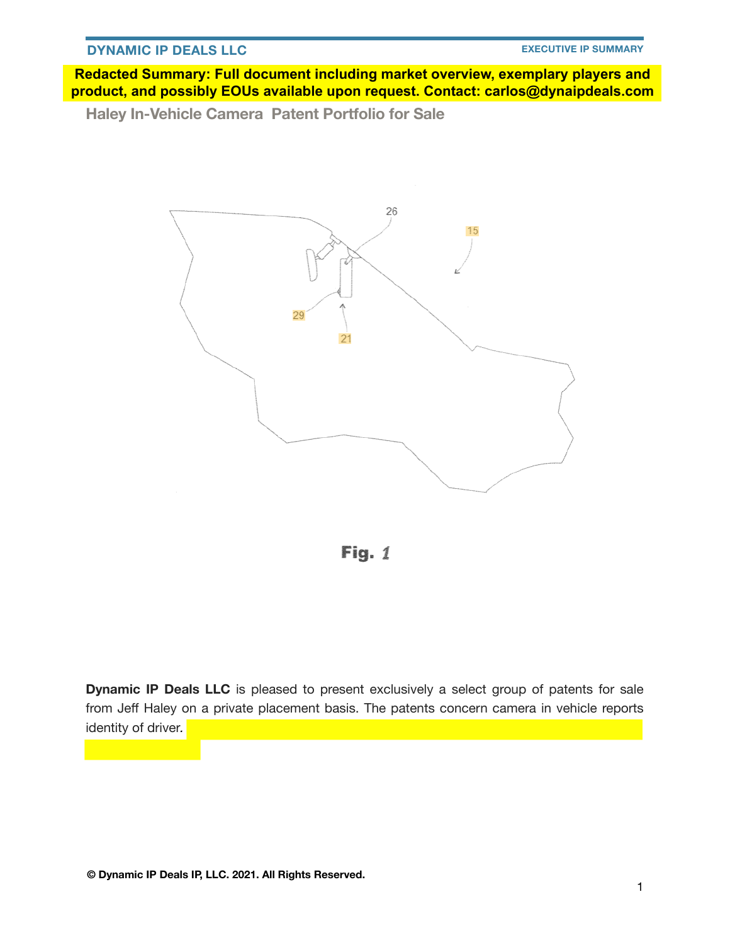**Redacted Summary: Full document including market overview, exemplary players and product, and possibly EOUs available upon request. Contact: carlos@dynaipdeals.com**

**Haley In-Vehicle Camera Patent Portfolio for Sale** 



Fig.  $1$ 

**Dynamic IP Deals LLC** is pleased to present exclusively a select group of patents for sale from Jeff Haley on a private placement basis. The patents concern camera in vehicle reports identity of driver*.*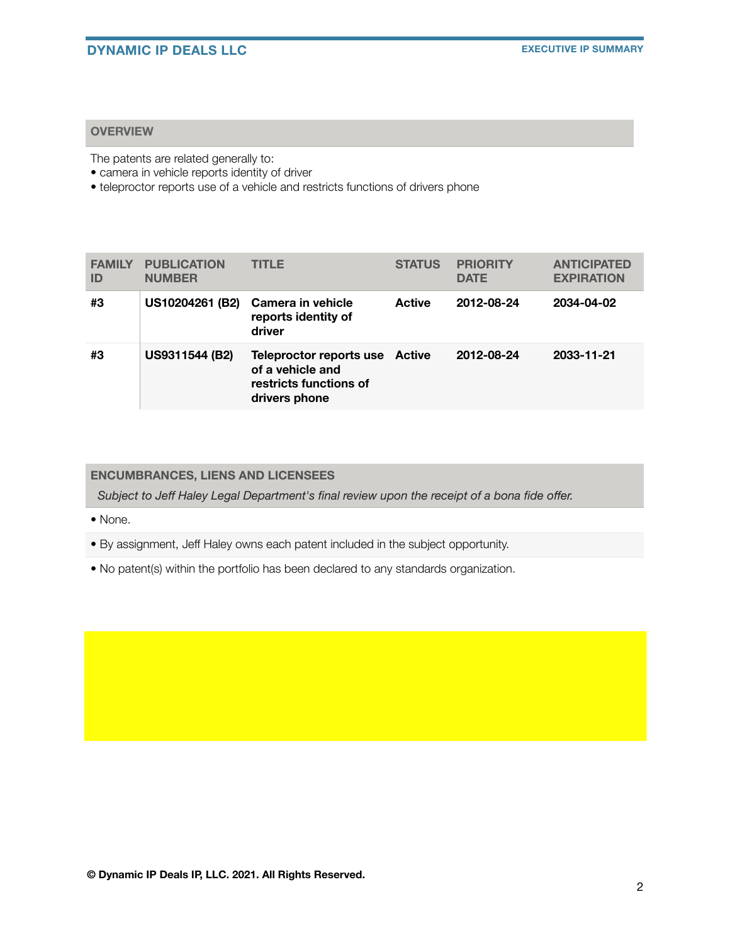### **OVERVIEW**

The patents are related generally to:

- camera in vehicle reports identity of driver
- teleproctor reports use of a vehicle and restricts functions of drivers phone

| <b>FAMILY</b><br>ID | <b>PUBLICATION</b><br><b>NUMBER</b> | <b>TITLE</b>                                                                                  | <b>STATUS</b> | <b>PRIORITY</b><br><b>DATE</b> | <b>ANTICIPATED</b><br><b>EXPIRATION</b> |
|---------------------|-------------------------------------|-----------------------------------------------------------------------------------------------|---------------|--------------------------------|-----------------------------------------|
| #3                  | US10204261 (B2)                     | Camera in vehicle<br>reports identity of<br>driver                                            | <b>Active</b> | 2012-08-24                     | 2034-04-02                              |
| #3                  | US9311544 (B2)                      | Teleproctor reports use Active<br>of a vehicle and<br>restricts functions of<br>drivers phone |               | 2012-08-24                     | 2033-11-21                              |

### **ENCUMBRANCES, LIENS AND LICENSEES**

*Subject to Jeff Haley Legal Department's final review upon the receipt of a bona fide offer.*

• None.

• By assignment, Jeff Haley owns each patent included in the subject opportunity.

• No patent(s) within the portfolio has been declared to any standards organization.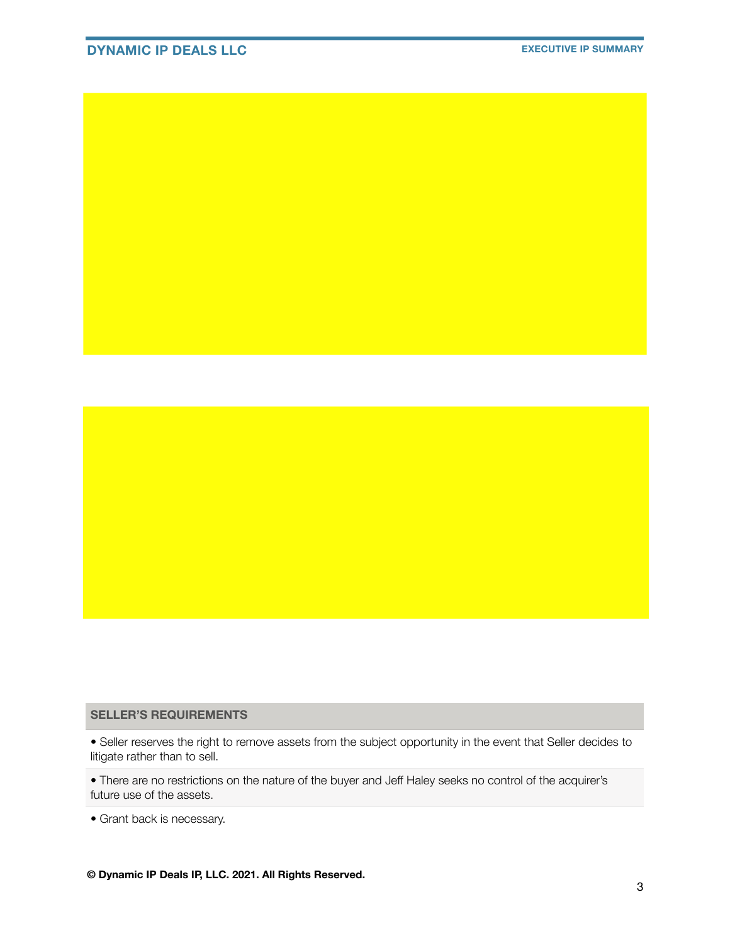## **DYNAMIC IP DEALS LLC EXECUTIVE IP SUMMARY**

#### **SELLER'S REQUIREMENTS**

• Seller reserves the right to remove assets from the subject opportunity in the event that Seller decides to litigate rather than to sell.

• There are no restrictions on the nature of the buyer and Jeff Haley seeks no control of the acquirer's future use of the assets.

• Grant back is necessary.

**© Dynamic IP Deals IP, LLC. 2021. All Rights Reserved.**